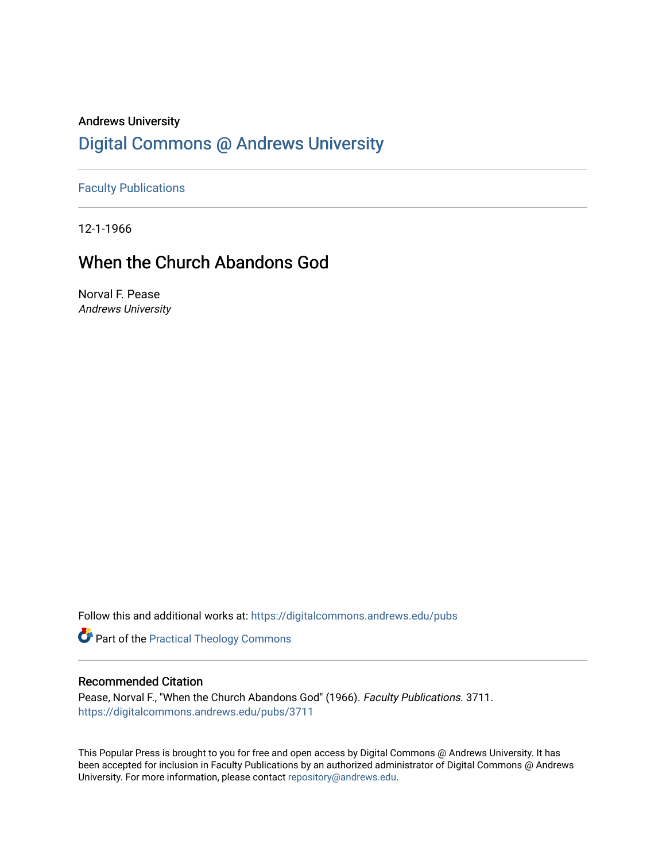### Andrews University [Digital Commons @ Andrews University](https://digitalcommons.andrews.edu/)

[Faculty Publications](https://digitalcommons.andrews.edu/pubs)

12-1-1966

## When the Church Abandons God

Norval F. Pease Andrews University

Follow this and additional works at: [https://digitalcommons.andrews.edu/pubs](https://digitalcommons.andrews.edu/pubs?utm_source=digitalcommons.andrews.edu%2Fpubs%2F3711&utm_medium=PDF&utm_campaign=PDFCoverPages) 

Part of the [Practical Theology Commons](http://network.bepress.com/hgg/discipline/1186?utm_source=digitalcommons.andrews.edu%2Fpubs%2F3711&utm_medium=PDF&utm_campaign=PDFCoverPages)

### Recommended Citation

Pease, Norval F., "When the Church Abandons God" (1966). Faculty Publications. 3711. [https://digitalcommons.andrews.edu/pubs/3711](https://digitalcommons.andrews.edu/pubs/3711?utm_source=digitalcommons.andrews.edu%2Fpubs%2F3711&utm_medium=PDF&utm_campaign=PDFCoverPages) 

This Popular Press is brought to you for free and open access by Digital Commons @ Andrews University. It has been accepted for inclusion in Faculty Publications by an authorized administrator of Digital Commons @ Andrews University. For more information, please contact [repository@andrews.edu](mailto:repository@andrews.edu).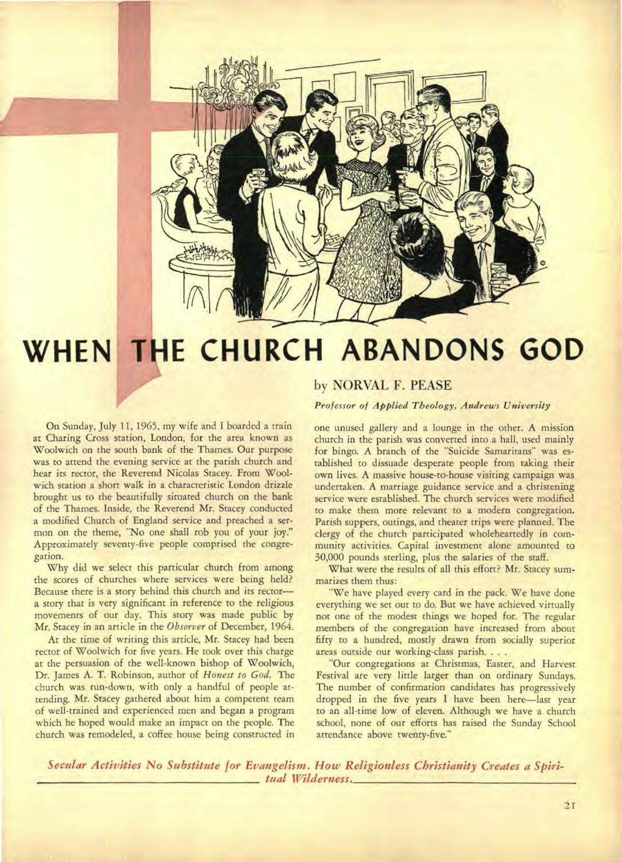

# **WHEN THE CHURCH ABANDONS GOD**

On Sunday, July 11, 1965, my wife and I boarded a train at Charing Cross station, London, for the area known as Woolwich on the south bank of the Thames. Our purpose was to attend the evening service at the parish church and hear its rector, the Reverend Nicolas Stacey. From Woolwich station a short walk in a characteristic London drizzle brought us to the beautifully situated church on the bank of the Thames. Inside, the Reverend Mr. Stacey conducted a modified Church of England service and preached a sermon on the theme, "No one shall rob you of your joy." Approximately seventy-five people comprised the congregation.

Why did we select this particular church from among the scores of churches where services were being held? Because there is a story behind this church and its rector a story that is very significant in reference to the religious movements of our day. This story was made public by Mr. Stacey in an article in the *Observer* of December, 1964.

At the time of writing this article, Mr. Stacey had been rector of Woolwich for five years. He took over this charge at the persuasion of the well-known bishop of Woolwich, Dr. James A. T. Robinson, author of *Honest to God.* The church was run-down, with only a handful of people attending. Mr. Stacey gathered about him a competent team of well-trained and experienced men and began a program which he hoped would make an impact on the people. The church was remodeled, a coffee house being constructed in

### **by NORVAL F. PEASE**

*Professor of Applied Theology, Andrews University* 

one unused gallery and a lounge in the other. A mission church in the parish was converted into a hall, used mainly for bingo. A branch of the "Suicide Samaritans" was established to dissuade desperate people from taking their own lives. A massive house-to-house visiting campaign was undertaken. A marriage guidance service and a christening service were established. The church services were modified to make them more relevant to a modern congregation. Parish suppers, outings, and theater trips were planned. The clergy of the church participated wholeheartedly in community activities. Capital investment alone amounted to 30,000 pounds sterling, plus the salaries of the staff.

What were the results of all this effort? Mr. Stacey summarizes them thus:

"We have played every card in the pack. We have done everything we set out to do. But we have achieved virtually not one of the modest things we hoped for. The regular members of the congregation have increased from about fifty to a hundred, mostly drawn from socially superior areas outside our working-class parish. . . .

"Our congregations at Christmas, Easter, and Harvest Festival are very little larger than on ordinary Sundays. The number of confirmation candidates has progressively dropped in the five years I have been here—last year to an all-time low of eleven. Although we have a church school, none of our efforts has raised the Sunday School attendance above twenty-five."

*Secular Activities No Substitute for Evangelism. How Religionless Christianity Creates a Spiri tual Wilderness.*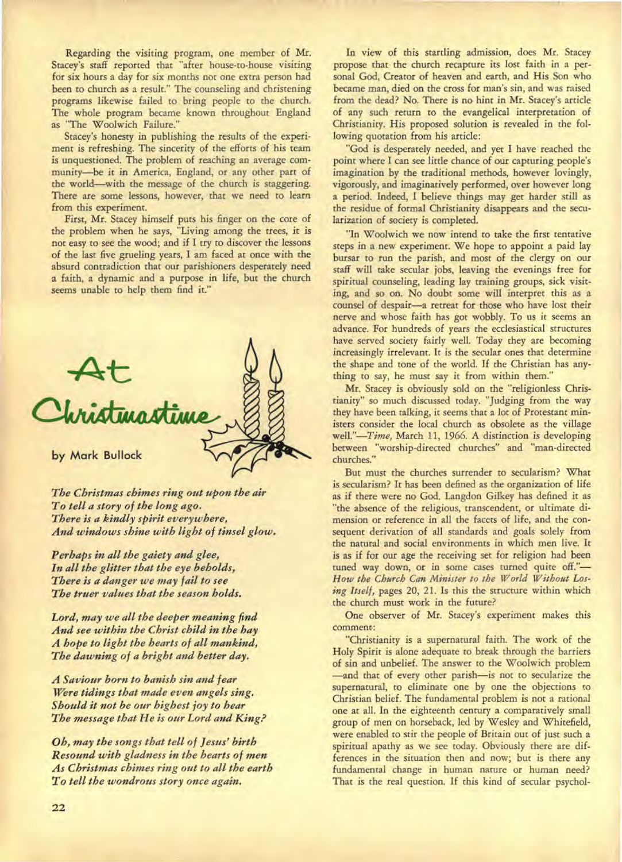Regarding the visiting program, one member of Mr. Stacey's staff reported that "after house-to-house visiting for six hours a day for six months not one extra person had been to church as a result." The counseling and christening programs likewise failed to bring people to the church. The whole program became known throughout England as "The Woolwich Failure."

Stacey's honesty in publishing the results of the experiment is refreshing. The sincerity of the efforts of his team is unquestioned. The problem of reaching an average community—be it in America, England, or any other part of the world—with the message of the church is staggering. There are some lessons, however, that we need to learn from this experiment.

First, Mr. Stacey himself puts his finger on the core of the problem when he says, "Living among the trees, it is not easy to see the wood; and if I try to discover the lessons of the last five grueling years, I am faced at once with the absurd contradiction that our parishioners desperately need a faith, a dynamic and a purpose in life, but the church seems unable to help them find it."



*The Christmas chimes ring out upon the air To tell a story of the long ago. There is a kindly spirit everywhere, And windows shine with light of tinsel glow.* 

*Perhaps in all the gaiety and glee, In all the glitter that the eye beholds, There is a danger we may fail to see The truer values that the season holds.* 

*Lord, may we all the deeper meaning find And see within the Christ child in the hay A hope to light the hearts of all mankind, The dawning of a bright and better day.* 

*A Saviour born to banish sin and fear Were tidings that made even angels sing. Should it not be our highest joy to hear The message that He is our Lord and King?* 

*Oh, may the songs that tell of Jesus' birth Resound with gladness in the hearts of men As Christmas chimes ring out to all the earth To tell the wondrous story once again.* 

In view of this startling admission, does Mr. Stacey propose that the church recapture its lost faith in a personal God, Creator of heaven and earth, and His Son who became man, died on the cross for man's sin, and was raised from the dead? No. There is no hint in Mr. Stacey's article of any such return to the evangelical interpretation of Christianity. His proposed solution is revealed in the following quotation from his article:

"God is desperately needed, and yet I have reached the point where I can see little chance of our capturing people's imagination by the traditional methods, however lovingly, vigorously, and imaginatively performed, over however long a period. Indeed, I believe things may get harder still as the residue of formal Christianity disappears and the secularization of society is completed.

"In Woolwich we now intend to take the first tentative steps in a new experiment. We hope to appoint a paid lay bursar to run the parish, and most of the clergy on our staff will take secular jobs, leaving the evenings free for spiritual counseling, leading lay training groups, sick visiting, and so on. No doubt some will interpret this as a counsel of despair—a retreat for those who have lost their nerve and whose faith has got wobbly. To us it seems an advance. For hundreds of years the ecclesiastical structures have served society fairly well. Today they are becoming increasingly irrelevant. It is the secular ones that determine the shape and tone of the world. If the Christian has anything to say, he must say it from within them."

Mr. Stacey is obviously sold on the "religionless Christianity" so much discussed today. "Judging from the way they have been talking, it seems that a lot of Protestant ministers consider the local church as obsolete as the village well."-Time, March 11, 1966. A distinction is developing well."—Time, March 11, 1966. A distinction is developing between "worship-directed churches" and "man-directed churches."

But must the churches surrender to secularism? What is secularism? It has been defined as the organization of life as if there were no God. Langdon Gilkey has defined it as "the absence of the religious, transcendent, or ultimate dimension or reference in all the facets of life, and the consequent derivation of all standards and goals solely from the natural and social environments in which men live. It is as if for our age the receiving set for religion had been tuned way down, or in some cases turned quite off."— *How the Church Can Minister to the World Without Losing Itself,* pages 20, 21. Is this the structure within which the church must work in the future?

One observer of Mr. Stacey's experiment makes this comment:

"Christianity is a supernatural faith. The work of the Holy Spirit is alone adequate to break through the barriers of sin and unbelief. The answer to the Woolwich problem —and that of every other parish—is not to secularize the supernatural, to eliminate one by one the objections to Christian belief. The fundamental problem is not a rational one at all. In the eighteenth century a comparatively small group of men on horseback, led by Wesley and Whitefield, were enabled to stir the people of Britain out of just such a spiritual apathy as we see today. Obviously there are differences in the situation then and now; but is there any fundamental change in human nature or human need? That is the real question. If this kind of secular psychol